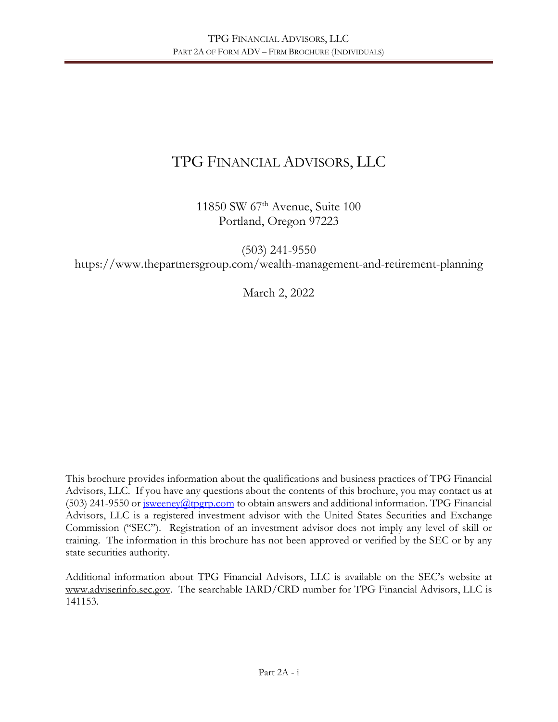# TPG FINANCIAL ADVISORS, LLC

11850 SW 67th Avenue, Suite 100 Portland, Oregon 97223

(503) 241-9550

https://www.thepartnersgroup.com/wealth-management-and-retirement-planning

March 2, 2022

This brochure provides information about the qualifications and business practices of TPG Financial Advisors, LLC. If you have any questions about the contents of this brochure, you may contact us at (503) 241-9550 or  $\frac{\text{isweenev}(a\text{tp} \text{grp.com}}{\text{top}}$  to obtain answers and additional information. TPG Financial Advisors, LLC is a registered investment advisor with the United States Securities and Exchange Commission ("SEC"). Registration of an investment advisor does not imply any level of skill or training. The information in this brochure has not been approved or verified by the SEC or by any state securities authority.

Additional information about TPG Financial Advisors, LLC is available on the SEC's website at www.adviserinfo.sec.gov. The searchable IARD/CRD number for TPG Financial Advisors, LLC is 141153.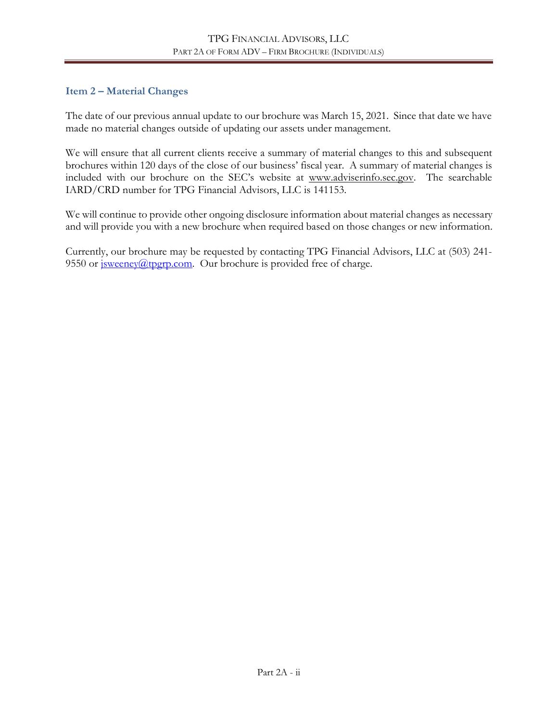# **Item 2 – Material Changes**

The date of our previous annual update to our brochure was March 15, 2021. Since that date we have made no material changes outside of updating our assets under management.

We will ensure that all current clients receive a summary of material changes to this and subsequent brochures within 120 days of the close of our business' fiscal year. A summary of material changes is included with our brochure on the SEC's website at www.adviserinfo.sec.gov. The searchable IARD/CRD number for TPG Financial Advisors, LLC is 141153.

We will continue to provide other ongoing disclosure information about material changes as necessary and will provide you with a new brochure when required based on those changes or new information.

Currently, our brochure may be requested by contacting TPG Financial Advisors, LLC at (503) 241- 9550 or  $\frac{\text{isweency}(a) \text{top.com}}{\text{comey}}$ . Our brochure is provided free of charge.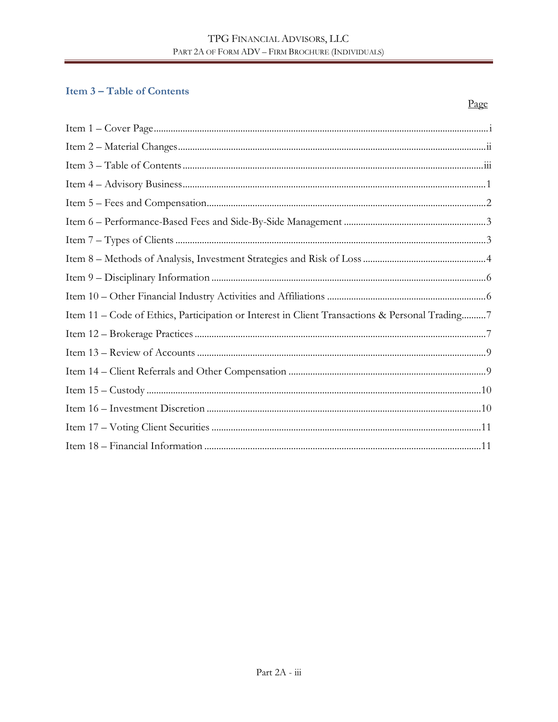# **Item 3-Table of Contents**

| Item 11 - Code of Ethics, Participation or Interest in Client Transactions & Personal Trading7 |
|------------------------------------------------------------------------------------------------|
|                                                                                                |
|                                                                                                |
|                                                                                                |
|                                                                                                |
|                                                                                                |
|                                                                                                |
|                                                                                                |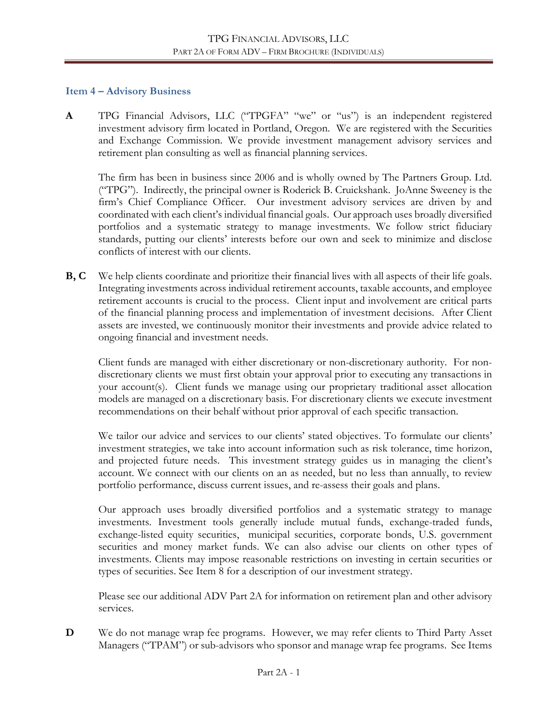#### **Item 4 – Advisory Business**

**A** TPG Financial Advisors, LLC ("TPGFA" "we" or "us") is an independent registered investment advisory firm located in Portland, Oregon. We are registered with the Securities and Exchange Commission. We provide investment management advisory services and retirement plan consulting as well as financial planning services.

The firm has been in business since 2006 and is wholly owned by The Partners Group. Ltd. ("TPG"). Indirectly, the principal owner is Roderick B. Cruickshank. JoAnne Sweeney is the firm's Chief Compliance Officer. Our investment advisory services are driven by and coordinated with each client's individual financial goals. Our approach uses broadly diversified portfolios and a systematic strategy to manage investments. We follow strict fiduciary standards, putting our clients' interests before our own and seek to minimize and disclose conflicts of interest with our clients.

**B, C** We help clients coordinate and prioritize their financial lives with all aspects of their life goals. Integrating investments across individual retirement accounts, taxable accounts, and employee retirement accounts is crucial to the process. Client input and involvement are critical parts of the financial planning process and implementation of investment decisions. After Client assets are invested, we continuously monitor their investments and provide advice related to ongoing financial and investment needs.

Client funds are managed with either discretionary or non-discretionary authority. For nondiscretionary clients we must first obtain your approval prior to executing any transactions in your account(s). Client funds we manage using our proprietary traditional asset allocation models are managed on a discretionary basis. For discretionary clients we execute investment recommendations on their behalf without prior approval of each specific transaction.

We tailor our advice and services to our clients' stated objectives. To formulate our clients' investment strategies, we take into account information such as risk tolerance, time horizon, and projected future needs. This investment strategy guides us in managing the client's account. We connect with our clients on an as needed, but no less than annually, to review portfolio performance, discuss current issues, and re-assess their goals and plans.

Our approach uses broadly diversified portfolios and a systematic strategy to manage investments. Investment tools generally include mutual funds, exchange-traded funds, exchange-listed equity securities, municipal securities, corporate bonds, U.S. government securities and money market funds. We can also advise our clients on other types of investments. Clients may impose reasonable restrictions on investing in certain securities or types of securities. See Item 8 for a description of our investment strategy.

Please see our additional ADV Part 2A for information on retirement plan and other advisory services.

**D** We do not manage wrap fee programs. However, we may refer clients to Third Party Asset Managers ("TPAM") or sub-advisors who sponsor and manage wrap fee programs. See Items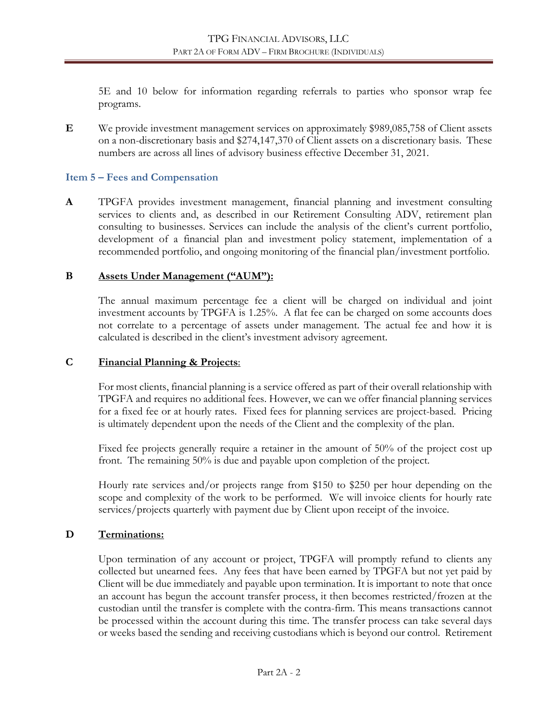5E and 10 below for information regarding referrals to parties who sponsor wrap fee programs.

**E** We provide investment management services on approximately \$989,085,758 of Client assets on a non-discretionary basis and \$274,147,370 of Client assets on a discretionary basis. These numbers are across all lines of advisory business effective December 31, 2021.

#### **Item 5 – Fees and Compensation**

**A** TPGFA provides investment management, financial planning and investment consulting services to clients and, as described in our Retirement Consulting ADV, retirement plan consulting to businesses. Services can include the analysis of the client's current portfolio, development of a financial plan and investment policy statement, implementation of a recommended portfolio, and ongoing monitoring of the financial plan/investment portfolio.

#### **B Assets Under Management ("AUM"):**

The annual maximum percentage fee a client will be charged on individual and joint investment accounts by TPGFA is 1.25%. A flat fee can be charged on some accounts does not correlate to a percentage of assets under management. The actual fee and how it is calculated is described in the client's investment advisory agreement.

#### **C Financial Planning & Projects**:

For most clients, financial planning is a service offered as part of their overall relationship with TPGFA and requires no additional fees. However, we can we offer financial planning services for a fixed fee or at hourly rates. Fixed fees for planning services are project-based. Pricing is ultimately dependent upon the needs of the Client and the complexity of the plan.

Fixed fee projects generally require a retainer in the amount of 50% of the project cost up front. The remaining 50% is due and payable upon completion of the project.

Hourly rate services and/or projects range from \$150 to \$250 per hour depending on the scope and complexity of the work to be performed. We will invoice clients for hourly rate services/projects quarterly with payment due by Client upon receipt of the invoice.

#### **D Terminations:**

Upon termination of any account or project, TPGFA will promptly refund to clients any collected but unearned fees. Any fees that have been earned by TPGFA but not yet paid by Client will be due immediately and payable upon termination. It is important to note that once an account has begun the account transfer process, it then becomes restricted/frozen at the custodian until the transfer is complete with the contra-firm. This means transactions cannot be processed within the account during this time. The transfer process can take several days or weeks based the sending and receiving custodians which is beyond our control. Retirement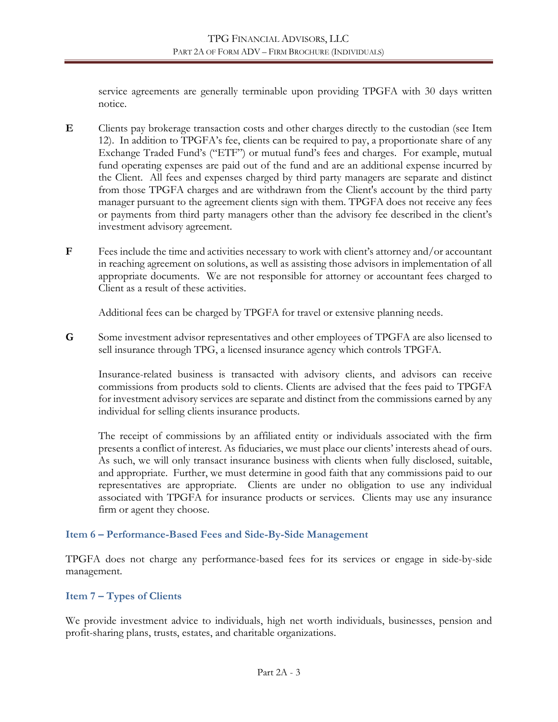service agreements are generally terminable upon providing TPGFA with 30 days written notice.

- **E** Clients pay brokerage transaction costs and other charges directly to the custodian (see Item 12). In addition to TPGFA's fee, clients can be required to pay, a proportionate share of any Exchange Traded Fund's ("ETF") or mutual fund's fees and charges. For example, mutual fund operating expenses are paid out of the fund and are an additional expense incurred by the Client. All fees and expenses charged by third party managers are separate and distinct from those TPGFA charges and are withdrawn from the Client's account by the third party manager pursuant to the agreement clients sign with them. TPGFA does not receive any fees or payments from third party managers other than the advisory fee described in the client's investment advisory agreement.
- **F** Fees include the time and activities necessary to work with client's attorney and/or accountant in reaching agreement on solutions, as well as assisting those advisors in implementation of all appropriate documents. We are not responsible for attorney or accountant fees charged to Client as a result of these activities.

Additional fees can be charged by TPGFA for travel or extensive planning needs.

**G** Some investment advisor representatives and other employees of TPGFA are also licensed to sell insurance through TPG, a licensed insurance agency which controls TPGFA.

Insurance-related business is transacted with advisory clients, and advisors can receive commissions from products sold to clients. Clients are advised that the fees paid to TPGFA for investment advisory services are separate and distinct from the commissions earned by any individual for selling clients insurance products.

The receipt of commissions by an affiliated entity or individuals associated with the firm presents a conflict of interest. As fiduciaries, we must place our clients' interests ahead of ours. As such, we will only transact insurance business with clients when fully disclosed, suitable, and appropriate. Further, we must determine in good faith that any commissions paid to our representatives are appropriate. Clients are under no obligation to use any individual associated with TPGFA for insurance products or services. Clients may use any insurance firm or agent they choose.

#### **Item 6 – Performance-Based Fees and Side-By-Side Management**

TPGFA does not charge any performance-based fees for its services or engage in side-by-side management.

#### **Item 7 – Types of Clients**

We provide investment advice to individuals, high net worth individuals, businesses, pension and profit-sharing plans, trusts, estates, and charitable organizations.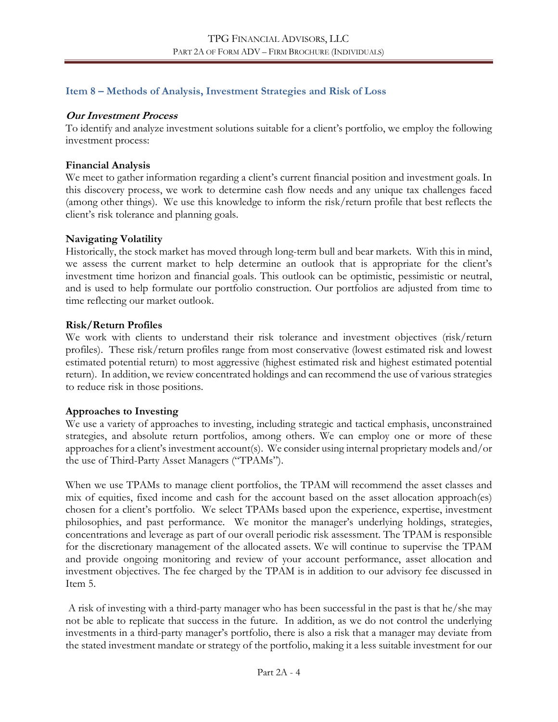# **Item 8 – Methods of Analysis, Investment Strategies and Risk of Loss**

## **Our Investment Process**

To identify and analyze investment solutions suitable for a client's portfolio, we employ the following investment process:

## **Financial Analysis**

We meet to gather information regarding a client's current financial position and investment goals. In this discovery process, we work to determine cash flow needs and any unique tax challenges faced (among other things). We use this knowledge to inform the risk/return profile that best reflects the client's risk tolerance and planning goals.

#### **Navigating Volatility**

Historically, the stock market has moved through long-term bull and bear markets. With this in mind, we assess the current market to help determine an outlook that is appropriate for the client's investment time horizon and financial goals. This outlook can be optimistic, pessimistic or neutral, and is used to help formulate our portfolio construction. Our portfolios are adjusted from time to time reflecting our market outlook.

## **Risk/Return Profiles**

We work with clients to understand their risk tolerance and investment objectives (risk/return profiles). These risk/return profiles range from most conservative (lowest estimated risk and lowest estimated potential return) to most aggressive (highest estimated risk and highest estimated potential return). In addition, we review concentrated holdings and can recommend the use of various strategies to reduce risk in those positions.

# **Approaches to Investing**

We use a variety of approaches to investing, including strategic and tactical emphasis, unconstrained strategies, and absolute return portfolios, among others. We can employ one or more of these approaches for a client's investment account(s). We consider using internal proprietary models and/or the use of Third-Party Asset Managers ("TPAMs").

When we use TPAMs to manage client portfolios, the TPAM will recommend the asset classes and mix of equities, fixed income and cash for the account based on the asset allocation approach(es) chosen for a client's portfolio. We select TPAMs based upon the experience, expertise, investment philosophies, and past performance. We monitor the manager's underlying holdings, strategies, concentrations and leverage as part of our overall periodic risk assessment. The TPAM is responsible for the discretionary management of the allocated assets. We will continue to supervise the TPAM and provide ongoing monitoring and review of your account performance, asset allocation and investment objectives. The fee charged by the TPAM is in addition to our advisory fee discussed in Item 5.

 A risk of investing with a third-party manager who has been successful in the past is that he/she may not be able to replicate that success in the future. In addition, as we do not control the underlying investments in a third-party manager's portfolio, there is also a risk that a manager may deviate from the stated investment mandate or strategy of the portfolio, making it a less suitable investment for our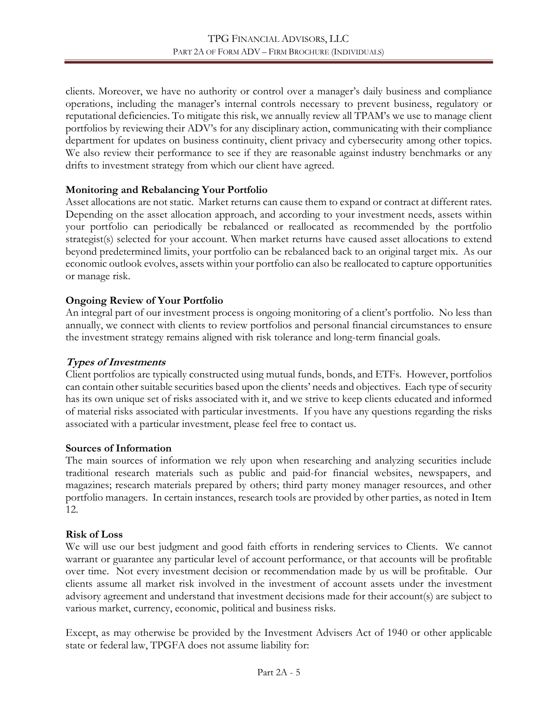clients. Moreover, we have no authority or control over a manager's daily business and compliance operations, including the manager's internal controls necessary to prevent business, regulatory or reputational deficiencies. To mitigate this risk, we annually review all TPAM's we use to manage client portfolios by reviewing their ADV's for any disciplinary action, communicating with their compliance department for updates on business continuity, client privacy and cybersecurity among other topics. We also review their performance to see if they are reasonable against industry benchmarks or any drifts to investment strategy from which our client have agreed.

#### **Monitoring and Rebalancing Your Portfolio**

Asset allocations are not static. Market returns can cause them to expand or contract at different rates. Depending on the asset allocation approach, and according to your investment needs, assets within your portfolio can periodically be rebalanced or reallocated as recommended by the portfolio strategist(s) selected for your account. When market returns have caused asset allocations to extend beyond predetermined limits, your portfolio can be rebalanced back to an original target mix.As our economic outlook evolves, assets within your portfolio can also be reallocated to capture opportunities or manage risk.

#### **Ongoing Review of Your Portfolio**

An integral part of our investment process is ongoing monitoring of a client's portfolio. No less than annually, we connect with clients to review portfolios and personal financial circumstances to ensure the investment strategy remains aligned with risk tolerance and long-term financial goals.

#### **Types of Investments**

Client portfolios are typically constructed using mutual funds, bonds, and ETFs. However, portfolios can contain other suitable securities based upon the clients' needs and objectives. Each type of security has its own unique set of risks associated with it, and we strive to keep clients educated and informed of material risks associated with particular investments. If you have any questions regarding the risks associated with a particular investment, please feel free to contact us.

#### **Sources of Information**

The main sources of information we rely upon when researching and analyzing securities include traditional research materials such as public and paid-for financial websites, newspapers, and magazines; research materials prepared by others; third party money manager resources, and other portfolio managers. In certain instances, research tools are provided by other parties, as noted in Item 12.

#### **Risk of Loss**

We will use our best judgment and good faith efforts in rendering services to Clients. We cannot warrant or guarantee any particular level of account performance, or that accounts will be profitable over time. Not every investment decision or recommendation made by us will be profitable. Our clients assume all market risk involved in the investment of account assets under the investment advisory agreement and understand that investment decisions made for their account(s) are subject to various market, currency, economic, political and business risks.

Except, as may otherwise be provided by the Investment Advisers Act of 1940 or other applicable state or federal law, TPGFA does not assume liability for: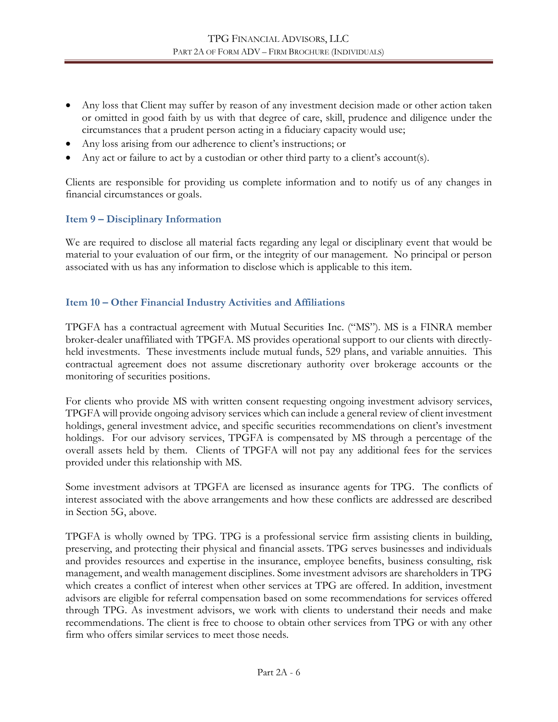- Any loss that Client may suffer by reason of any investment decision made or other action taken or omitted in good faith by us with that degree of care, skill, prudence and diligence under the circumstances that a prudent person acting in a fiduciary capacity would use;
- Any loss arising from our adherence to client's instructions; or
- Any act or failure to act by a custodian or other third party to a client's account(s).

Clients are responsible for providing us complete information and to notify us of any changes in financial circumstances or goals.

## **Item 9 – Disciplinary Information**

We are required to disclose all material facts regarding any legal or disciplinary event that would be material to your evaluation of our firm, or the integrity of our management. No principal or person associated with us has any information to disclose which is applicable to this item.

## **Item 10 – Other Financial Industry Activities and Affiliations**

TPGFA has a contractual agreement with Mutual Securities Inc. ("MS"). MS is a FINRA member broker-dealer unaffiliated with TPGFA. MS provides operational support to our clients with directlyheld investments. These investments include mutual funds, 529 plans, and variable annuities. This contractual agreement does not assume discretionary authority over brokerage accounts or the monitoring of securities positions.

For clients who provide MS with written consent requesting ongoing investment advisory services, TPGFA will provide ongoing advisory services which can include a general review of client investment holdings, general investment advice, and specific securities recommendations on client's investment holdings. For our advisory services, TPGFA is compensated by MS through a percentage of the overall assets held by them. Clients of TPGFA will not pay any additional fees for the services provided under this relationship with MS.

Some investment advisors at TPGFA are licensed as insurance agents for TPG. The conflicts of interest associated with the above arrangements and how these conflicts are addressed are described in Section 5G, above.

TPGFA is wholly owned by TPG. TPG is a professional service firm assisting clients in building, preserving, and protecting their physical and financial assets. TPG serves businesses and individuals and provides resources and expertise in the insurance, employee benefits, business consulting, risk management, and wealth management disciplines. Some investment advisors are shareholders in TPG which creates a conflict of interest when other services at TPG are offered. In addition, investment advisors are eligible for referral compensation based on some recommendations for services offered through TPG. As investment advisors, we work with clients to understand their needs and make recommendations. The client is free to choose to obtain other services from TPG or with any other firm who offers similar services to meet those needs.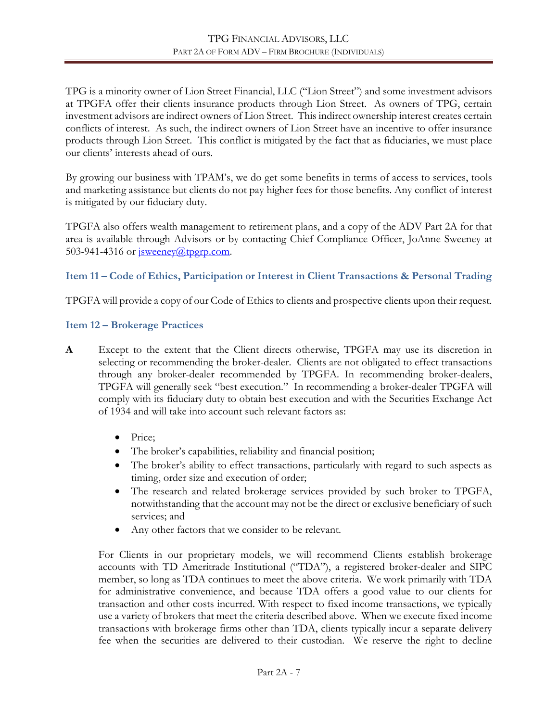TPG is a minority owner of Lion Street Financial, LLC ("Lion Street") and some investment advisors at TPGFA offer their clients insurance products through Lion Street. As owners of TPG, certain investment advisors are indirect owners of Lion Street. This indirect ownership interest creates certain conflicts of interest. As such, the indirect owners of Lion Street have an incentive to offer insurance products through Lion Street. This conflict is mitigated by the fact that as fiduciaries, we must place our clients' interests ahead of ours.

By growing our business with TPAM's, we do get some benefits in terms of access to services, tools and marketing assistance but clients do not pay higher fees for those benefits. Any conflict of interest is mitigated by our fiduciary duty.

TPGFA also offers wealth management to retirement plans, and a copy of the ADV Part 2A for that area is available through Advisors or by contacting Chief Compliance Officer, JoAnne Sweeney at 503-941-4316 or  $\frac{1}{15}$  isweeney (a) tpgrp.com.

# **Item 11 – Code of Ethics, Participation or Interest in Client Transactions & Personal Trading**

TPGFA will provide a copy of our Code of Ethics to clients and prospective clients upon their request.

#### **Item 12 – Brokerage Practices**

- **A** Except to the extent that the Client directs otherwise, TPGFA may use its discretion in selecting or recommending the broker-dealer. Clients are not obligated to effect transactions through any broker-dealer recommended by TPGFA. In recommending broker-dealers, TPGFA will generally seek "best execution." In recommending a broker-dealer TPGFA will comply with its fiduciary duty to obtain best execution and with the Securities Exchange Act of 1934 and will take into account such relevant factors as:
	- Price:
	- The broker's capabilities, reliability and financial position;
	- The broker's ability to effect transactions, particularly with regard to such aspects as timing, order size and execution of order;
	- The research and related brokerage services provided by such broker to TPGFA, notwithstanding that the account may not be the direct or exclusive beneficiary of such services; and
	- Any other factors that we consider to be relevant.

For Clients in our proprietary models, we will recommend Clients establish brokerage accounts with TD Ameritrade Institutional ("TDA"), a registered broker-dealer and SIPC member, so long as TDA continues to meet the above criteria. We work primarily with TDA for administrative convenience, and because TDA offers a good value to our clients for transaction and other costs incurred. With respect to fixed income transactions, we typically use a variety of brokers that meet the criteria described above. When we execute fixed income transactions with brokerage firms other than TDA, clients typically incur a separate delivery fee when the securities are delivered to their custodian. We reserve the right to decline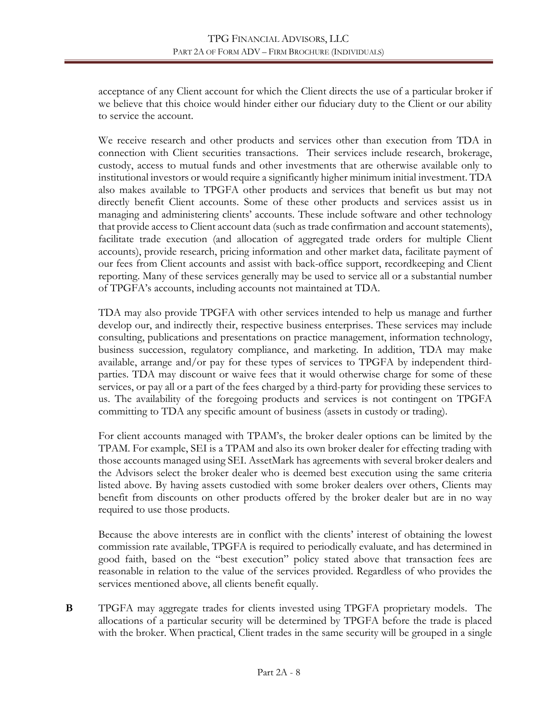acceptance of any Client account for which the Client directs the use of a particular broker if we believe that this choice would hinder either our fiduciary duty to the Client or our ability to service the account.

We receive research and other products and services other than execution from TDA in connection with Client securities transactions. Their services include research, brokerage, custody, access to mutual funds and other investments that are otherwise available only to institutional investors or would require a significantly higher minimum initial investment. TDA also makes available to TPGFA other products and services that benefit us but may not directly benefit Client accounts. Some of these other products and services assist us in managing and administering clients' accounts. These include software and other technology that provide access to Client account data (such as trade confirmation and account statements), facilitate trade execution (and allocation of aggregated trade orders for multiple Client accounts), provide research, pricing information and other market data, facilitate payment of our fees from Client accounts and assist with back-office support, recordkeeping and Client reporting. Many of these services generally may be used to service all or a substantial number of TPGFA's accounts, including accounts not maintained at TDA.

TDA may also provide TPGFA with other services intended to help us manage and further develop our, and indirectly their, respective business enterprises. These services may include consulting, publications and presentations on practice management, information technology, business succession, regulatory compliance, and marketing. In addition, TDA may make available, arrange and/or pay for these types of services to TPGFA by independent thirdparties. TDA may discount or waive fees that it would otherwise charge for some of these services, or pay all or a part of the fees charged by a third-party for providing these services to us. The availability of the foregoing products and services is not contingent on TPGFA committing to TDA any specific amount of business (assets in custody or trading).

For client accounts managed with TPAM's, the broker dealer options can be limited by the TPAM. For example, SEI is a TPAM and also its own broker dealer for effecting trading with those accounts managed using SEI. AssetMark has agreements with several broker dealers and the Advisors select the broker dealer who is deemed best execution using the same criteria listed above. By having assets custodied with some broker dealers over others, Clients may benefit from discounts on other products offered by the broker dealer but are in no way required to use those products.

Because the above interests are in conflict with the clients' interest of obtaining the lowest commission rate available, TPGFA is required to periodically evaluate, and has determined in good faith, based on the "best execution" policy stated above that transaction fees are reasonable in relation to the value of the services provided. Regardless of who provides the services mentioned above, all clients benefit equally.

**B** TPGFA may aggregate trades for clients invested using TPGFA proprietary models. The allocations of a particular security will be determined by TPGFA before the trade is placed with the broker. When practical, Client trades in the same security will be grouped in a single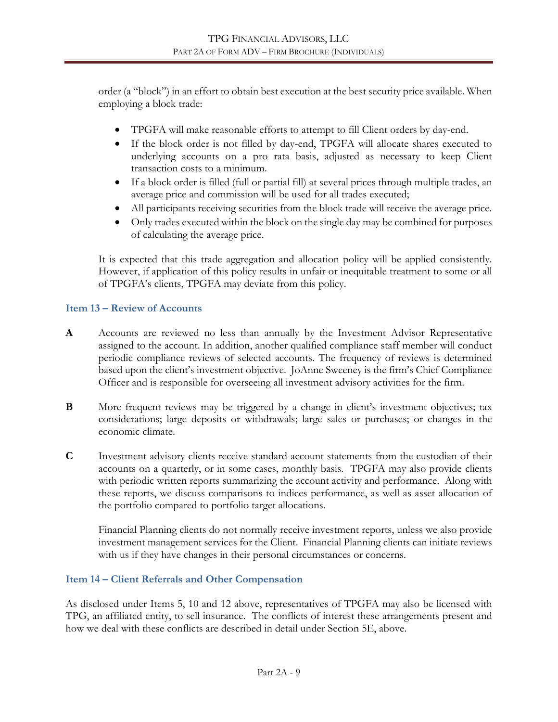order (a "block") in an effort to obtain best execution at the best security price available. When employing a block trade:

- TPGFA will make reasonable efforts to attempt to fill Client orders by day-end.
- If the block order is not filled by day-end, TPGFA will allocate shares executed to underlying accounts on a pro rata basis, adjusted as necessary to keep Client transaction costs to a minimum.
- If a block order is filled (full or partial fill) at several prices through multiple trades, an average price and commission will be used for all trades executed;
- All participants receiving securities from the block trade will receive the average price.
- Only trades executed within the block on the single day may be combined for purposes of calculating the average price.

It is expected that this trade aggregation and allocation policy will be applied consistently. However, if application of this policy results in unfair or inequitable treatment to some or all of TPGFA's clients, TPGFA may deviate from this policy.

#### **Item 13 – Review of Accounts**

- **A** Accounts are reviewed no less than annually by the Investment Advisor Representative assigned to the account. In addition, another qualified compliance staff member will conduct periodic compliance reviews of selected accounts. The frequency of reviews is determined based upon the client's investment objective. JoAnne Sweeney is the firm's Chief Compliance Officer and is responsible for overseeing all investment advisory activities for the firm.
- **B** More frequent reviews may be triggered by a change in client's investment objectives; tax considerations; large deposits or withdrawals; large sales or purchases; or changes in the economic climate.
- **C** Investment advisory clients receive standard account statements from the custodian of their accounts on a quarterly, or in some cases, monthly basis. TPGFA may also provide clients with periodic written reports summarizing the account activity and performance. Along with these reports, we discuss comparisons to indices performance, as well as asset allocation of the portfolio compared to portfolio target allocations.

Financial Planning clients do not normally receive investment reports, unless we also provide investment management services for the Client. Financial Planning clients can initiate reviews with us if they have changes in their personal circumstances or concerns.

#### **Item 14 – Client Referrals and Other Compensation**

As disclosed under Items 5, 10 and 12 above, representatives of TPGFA may also be licensed with TPG, an affiliated entity, to sell insurance. The conflicts of interest these arrangements present and how we deal with these conflicts are described in detail under Section 5E, above.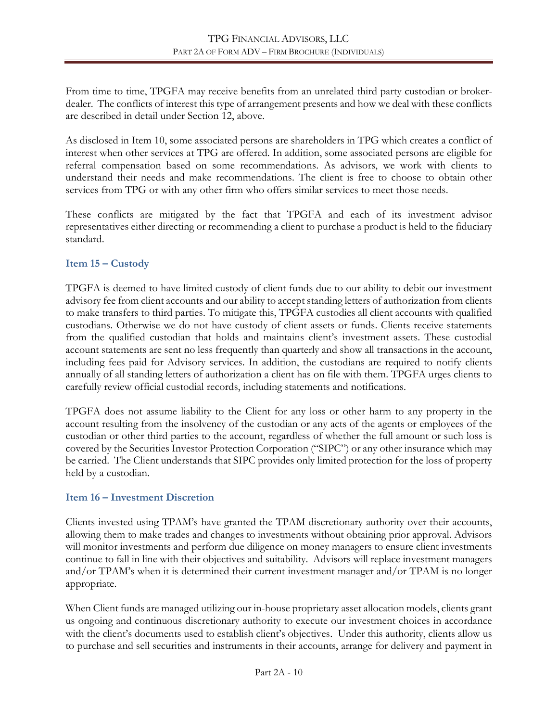From time to time, TPGFA may receive benefits from an unrelated third party custodian or brokerdealer. The conflicts of interest this type of arrangement presents and how we deal with these conflicts are described in detail under Section 12, above.

As disclosed in Item 10, some associated persons are shareholders in TPG which creates a conflict of interest when other services at TPG are offered. In addition, some associated persons are eligible for referral compensation based on some recommendations. As advisors, we work with clients to understand their needs and make recommendations. The client is free to choose to obtain other services from TPG or with any other firm who offers similar services to meet those needs.

These conflicts are mitigated by the fact that TPGFA and each of its investment advisor representatives either directing or recommending a client to purchase a product is held to the fiduciary standard.

# **Item 15 – Custody**

TPGFA is deemed to have limited custody of client funds due to our ability to debit our investment advisory fee from client accounts and our ability to accept standing letters of authorization from clients to make transfers to third parties. To mitigate this, TPGFA custodies all client accounts with qualified custodians. Otherwise we do not have custody of client assets or funds. Clients receive statements from the qualified custodian that holds and maintains client's investment assets. These custodial account statements are sent no less frequently than quarterly and show all transactions in the account, including fees paid for Advisory services. In addition, the custodians are required to notify clients annually of all standing letters of authorization a client has on file with them. TPGFA urges clients to carefully review official custodial records, including statements and notifications.

TPGFA does not assume liability to the Client for any loss or other harm to any property in the account resulting from the insolvency of the custodian or any acts of the agents or employees of the custodian or other third parties to the account, regardless of whether the full amount or such loss is covered by the Securities Investor Protection Corporation ("SIPC") or any other insurance which may be carried. The Client understands that SIPC provides only limited protection for the loss of property held by a custodian.

# **Item 16 – Investment Discretion**

Clients invested using TPAM's have granted the TPAM discretionary authority over their accounts, allowing them to make trades and changes to investments without obtaining prior approval. Advisors will monitor investments and perform due diligence on money managers to ensure client investments continue to fall in line with their objectives and suitability. Advisors will replace investment managers and/or TPAM's when it is determined their current investment manager and/or TPAM is no longer appropriate.

When Client funds are managed utilizing our in-house proprietary asset allocation models, clients grant us ongoing and continuous discretionary authority to execute our investment choices in accordance with the client's documents used to establish client's objectives. Under this authority, clients allow us to purchase and sell securities and instruments in their accounts, arrange for delivery and payment in